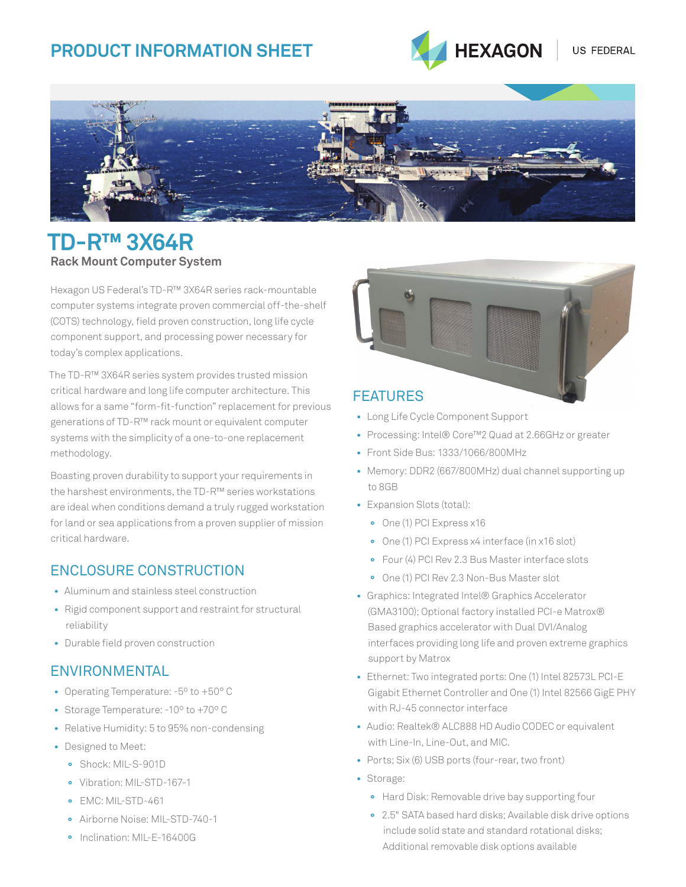# **Product Information SHEET**



US FEDERAL



# **TD-R™ 3X64R Rack Mount Computer System**

Hexagon US Federal's TD-R™ 3X64R series rack-mountable computer systems integrate proven commercial off-the-shelf (COTS) technology, field proven construction, long life cycle component support, and processing power necessary for today's complex applications.

The TD-R™ 3X64R series system provides trusted mission critical hardware and long life computer architecture. This allows for a same "form-fit-function" replacement for previous generations of TD-R™ rack mount or equivalent computer systems with the simplicity of a one-to-one replacement methodology.

Boasting proven durability to support your requirements in the harshest environments, the TD-R™ series workstations are ideal when conditions demand a truly rugged workstation for land or sea applications from a proven supplier of mission critical hardware.

## Enclosure Construction

- Aluminum and stainless steel construction
- Rigid component support and restraint for structural reliability
- Durable field proven construction

## **ENVIRONMENTAL**

- Operating Temperature: -5º to +50° C
- Storage Temperature: -10º to +70º C
- Relative Humidity: 5 to 95% non-condensing
- Designed to Meet:
	- **°** Shock: MIL-S-901D
	- **°** Vibration: MIL-STD-167-1
	- **°** EMC: MIL-STD-461
	- **°** Airborne Noise: MIL-STD-740-1
	- **°** Inclination: MIL-E-16400G



- Long Life Cycle Component Support
- Processing: Intel® Core™2 Quad at 2.66GHz or greater
- Front Side Bus: 1333/1066/800MHz
- Memory: DDR2 (667/800MHz) dual channel supporting up to 8GB
- Expansion Slots (total):
	- **°** One (1) PCI Express x16
	- **°** One (1) PCI Express x4 interface (in x16 slot)
	- **°** Four (4) PCI Rev 2.3 Bus Master interface slots
	- **°** One (1) PCI Rev 2.3 Non-Bus Master slot
- Graphics: Integrated Intel® Graphics Accelerator (GMA3100); Optional factory installed PCI-e Matrox® Based graphics accelerator with Dual DVI/Analog interfaces providing long life and proven extreme graphics support by Matrox
- Ethernet: Two integrated ports: One (1) Intel 82573L PCI-E Gigabit Ethernet Controller and One (1) Intel 82566 GigE PHY with RJ-45 connector interface
- Audio: Realtek® ALC888 HD Audio CODEC or equivalent with Line-In, Line-Out, and MIC.
- Ports; Six (6) USB ports (four-rear, two front)
- Storage:
	- **°** Hard Disk: Removable drive bay supporting four
	- **°** 2.5" SATA based hard disks; Available disk drive options include solid state and standard rotational disks; Additional removable disk options available